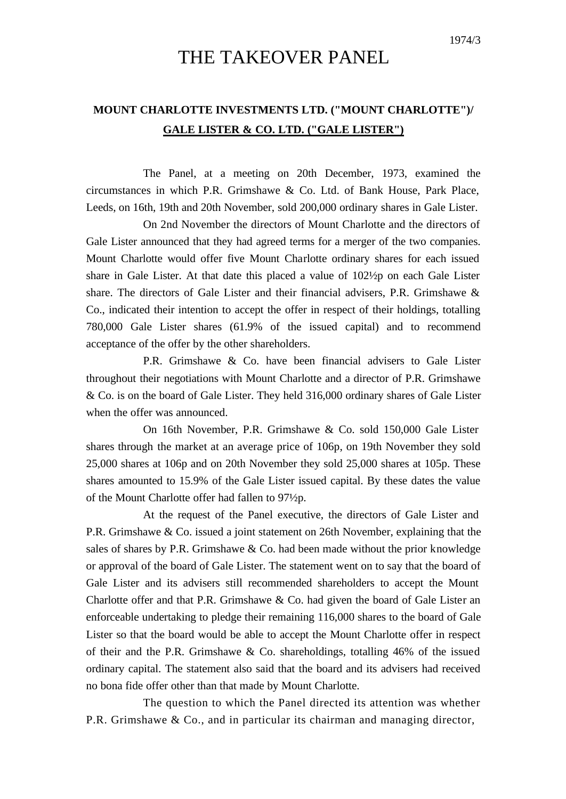## THE TAKEOVER PANEL

## **MOUNT CHARLOTTE INVESTMENTS LTD. ("MOUNT CHARLOTTE")/ GALE LISTER & CO. LTD. ("GALE LISTER")**

The Panel, at a meeting on 20th December, 1973, examined the circumstances in which P.R. Grimshawe & Co. Ltd. of Bank House, Park Place, Leeds, on 16th, 19th and 20th November, sold 200,000 ordinary shares in Gale Lister.

On 2nd November the directors of Mount Charlotte and the directors of Gale Lister announced that they had agreed terms for a merger of the two companies. Mount Charlotte would offer five Mount Charlotte ordinary shares for each issued share in Gale Lister. At that date this placed a value of 102½p on each Gale Lister share. The directors of Gale Lister and their financial advisers, P.R. Grimshawe  $\&$ Co., indicated their intention to accept the offer in respect of their holdings, totalling 780,000 Gale Lister shares (61.9% of the issued capital) and to recommend acceptance of the offer by the other shareholders.

P.R. Grimshawe & Co. have been financial advisers to Gale Lister throughout their negotiations with Mount Charlotte and a director of P.R. Grimshawe & Co. is on the board of Gale Lister. They held 316,000 ordinary shares of Gale Lister when the offer was announced.

On 16th November, P.R. Grimshawe & Co. sold 150,000 Gale Lister shares through the market at an average price of 106p, on 19th November they sold 25,000 shares at 106p and on 20th November they sold 25,000 shares at 105p. These shares amounted to 15.9% of the Gale Lister issued capital. By these dates the value of the Mount Charlotte offer had fallen to 97½p.

At the request of the Panel executive, the directors of Gale Lister and P.R. Grimshawe & Co. issued a joint statement on 26th November, explaining that the sales of shares by P.R. Grimshawe  $&$  Co. had been made without the prior knowledge or approval of the board of Gale Lister. The statement went on to say that the board of Gale Lister and its advisers still recommended shareholders to accept the Mount Charlotte offer and that P.R. Grimshawe  $\&$  Co. had given the board of Gale Lister an enforceable undertaking to pledge their remaining 116,000 shares to the board of Gale Lister so that the board would be able to accept the Mount Charlotte offer in respect of their and the P.R. Grimshawe & Co. shareholdings, totalling 46% of the issued ordinary capital. The statement also said that the board and its advisers had received no bona fide offer other than that made by Mount Charlotte.

The question to which the Panel directed its attention was whether P.R. Grimshawe & Co., and in particular its chairman and managing director,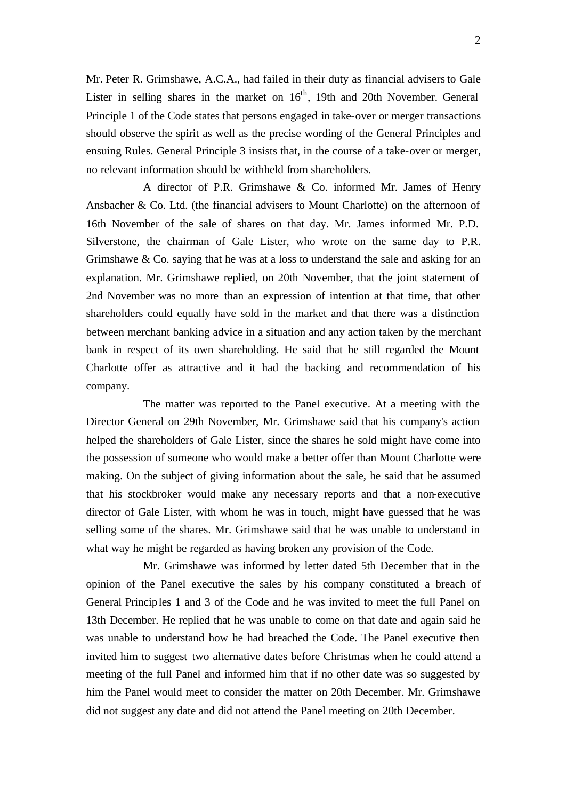Mr. Peter R. Grimshawe, A.C.A., had failed in their duty as financial advisersto Gale Lister in selling shares in the market on  $16<sup>th</sup>$ , 19th and 20th November. General Principle 1 of the Code states that persons engaged in take-over or merger transactions should observe the spirit as well as the precise wording of the General Principles and ensuing Rules. General Principle 3 insists that, in the course of a take-over or merger, no relevant information should be withheld from shareholders.

A director of P.R. Grimshawe & Co. informed Mr. James of Henry Ansbacher & Co. Ltd. (the financial advisers to Mount Charlotte) on the afternoon of 16th November of the sale of shares on that day. Mr. James informed Mr. P.D. Silverstone, the chairman of Gale Lister, who wrote on the same day to P.R. Grimshawe  $\&$  Co. saying that he was at a loss to understand the sale and asking for an explanation. Mr. Grimshawe replied, on 20th November, that the joint statement of 2nd November was no more than an expression of intention at that time, that other shareholders could equally have sold in the market and that there was a distinction between merchant banking advice in a situation and any action taken by the merchant bank in respect of its own shareholding. He said that he still regarded the Mount Charlotte offer as attractive and it had the backing and recommendation of his company.

The matter was reported to the Panel executive. At a meeting with the Director General on 29th November, Mr. Grimshawe said that his company's action helped the shareholders of Gale Lister, since the shares he sold might have come into the possession of someone who would make a better offer than Mount Charlotte were making. On the subject of giving information about the sale, he said that he assumed that his stockbroker would make any necessary reports and that a non-executive director of Gale Lister, with whom he was in touch, might have guessed that he was selling some of the shares. Mr. Grimshawe said that he was unable to understand in what way he might be regarded as having broken any provision of the Code.

Mr. Grimshawe was informed by letter dated 5th December that in the opinion of the Panel executive the sales by his company constituted a breach of General Principles 1 and 3 of the Code and he was invited to meet the full Panel on 13th December. He replied that he was unable to come on that date and again said he was unable to understand how he had breached the Code. The Panel executive then invited him to suggest two alternative dates before Christmas when he could attend a meeting of the full Panel and informed him that if no other date was so suggested by him the Panel would meet to consider the matter on 20th December. Mr. Grimshawe did not suggest any date and did not attend the Panel meeting on 20th December.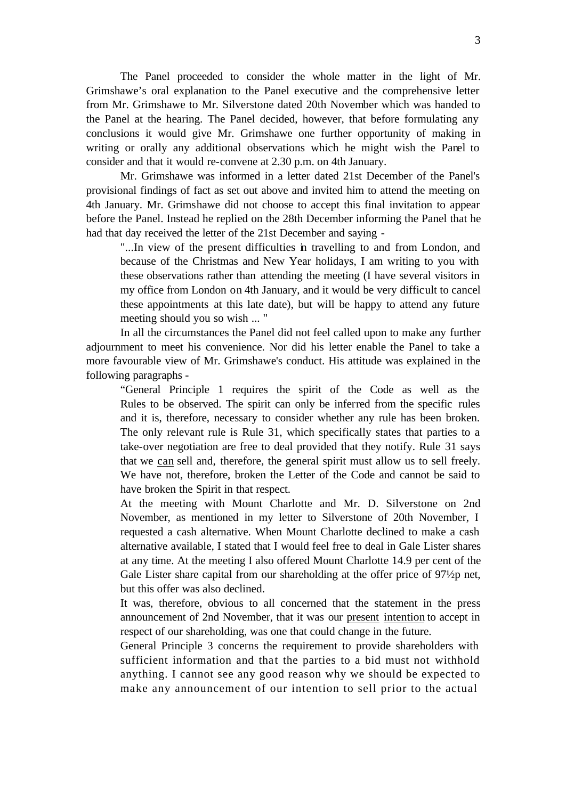The Panel proceeded to consider the whole matter in the light of Mr. Grimshawe's oral explanation to the Panel executive and the comprehensive letter from Mr. Grimshawe to Mr. Silverstone dated 20th November which was handed to the Panel at the hearing. The Panel decided, however, that before formulating any conclusions it would give Mr. Grimshawe one further opportunity of making in writing or orally any additional observations which he might wish the Panel to consider and that it would re-convene at 2.30 p.m. on 4th January.

Mr. Grimshawe was informed in a letter dated 21st December of the Panel's provisional findings of fact as set out above and invited him to attend the meeting on 4th January. Mr. Grimshawe did not choose to accept this final invitation to appear before the Panel. Instead he replied on the 28th December informing the Panel that he had that day received the letter of the 21st December and saying -

"...In view of the present difficulties in travelling to and from London, and because of the Christmas and New Year holidays, I am writing to you with these observations rather than attending the meeting (I have several visitors in my office from London on 4th January, and it would be very difficult to cancel these appointments at this late date), but will be happy to attend any future meeting should you so wish ... "

In all the circumstances the Panel did not feel called upon to make any further adjournment to meet his convenience. Nor did his letter enable the Panel to take a more favourable view of Mr. Grimshawe's conduct. His attitude was explained in the following paragraphs -

"General Principle 1 requires the spirit of the Code as well as the Rules to be observed. The spirit can only be inferred from the specific rules and it is, therefore, necessary to consider whether any rule has been broken. The only relevant rule is Rule 31, which specifically states that parties to a take-over negotiation are free to deal provided that they notify. Rule 31 says that we can sell and, therefore, the general spirit must allow us to sell freely. We have not, therefore, broken the Letter of the Code and cannot be said to have broken the Spirit in that respect.

At the meeting with Mount Charlotte and Mr. D. Silverstone on 2nd November, as mentioned in my letter to Silverstone of 20th November, I requested a cash alternative. When Mount Charlotte declined to make a cash alternative available, I stated that I would feel free to deal in Gale Lister shares at any time. At the meeting I also offered Mount Charlotte 14.9 per cent of the Gale Lister share capital from our shareholding at the offer price of 97 $\frac{1}{2}$  net, but this offer was also declined.

It was, therefore, obvious to all concerned that the statement in the press announcement of 2nd November, that it was our present intention to accept in respect of our shareholding, was one that could change in the future.

General Principle 3 concerns the requirement to provide shareholders with sufficient information and that the parties to a bid must not withhold anything. I cannot see any good reason why we should be expected to make any announcement of our intention to sell prior to the actual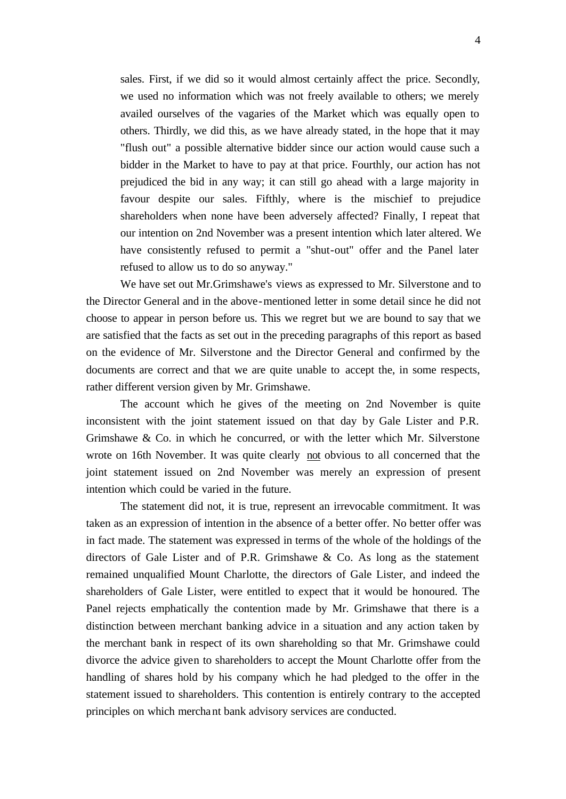sales. First, if we did so it would almost certainly affect the price. Secondly, we used no information which was not freely available to others; we merely availed ourselves of the vagaries of the Market which was equally open to others. Thirdly, we did this, as we have already stated, in the hope that it may "flush out" a possible alternative bidder since our action would cause such a bidder in the Market to have to pay at that price. Fourthly, our action has not prejudiced the bid in any way; it can still go ahead with a large majority in favour despite our sales. Fifthly, where is the mischief to prejudice shareholders when none have been adversely affected? Finally, I repeat that our intention on 2nd November was a present intention which later altered. We have consistently refused to permit a "shut-out" offer and the Panel later refused to allow us to do so anyway."

We have set out Mr.Grimshawe's views as expressed to Mr. Silverstone and to the Director General and in the above-mentioned letter in some detail since he did not choose to appear in person before us. This we regret but we are bound to say that we are satisfied that the facts as set out in the preceding paragraphs of this report as based on the evidence of Mr. Silverstone and the Director General and confirmed by the documents are correct and that we are quite unable to accept the, in some respects, rather different version given by Mr. Grimshawe.

The account which he gives of the meeting on 2nd November is quite inconsistent with the joint statement issued on that day by Gale Lister and P.R. Grimshawe  $\&$  Co. in which he concurred, or with the letter which Mr. Silverstone wrote on 16th November. It was quite clearly not obvious to all concerned that the joint statement issued on 2nd November was merely an expression of present intention which could be varied in the future.

The statement did not, it is true, represent an irrevocable commitment. It was taken as an expression of intention in the absence of a better offer. No better offer was in fact made. The statement was expressed in terms of the whole of the holdings of the directors of Gale Lister and of P.R. Grimshawe & Co. As long as the statement remained unqualified Mount Charlotte, the directors of Gale Lister, and indeed the shareholders of Gale Lister, were entitled to expect that it would be honoured. The Panel rejects emphatically the contention made by Mr. Grimshawe that there is a distinction between merchant banking advice in a situation and any action taken by the merchant bank in respect of its own shareholding so that Mr. Grimshawe could divorce the advice given to shareholders to accept the Mount Charlotte offer from the handling of shares hold by his company which he had pledged to the offer in the statement issued to shareholders. This contention is entirely contrary to the accepted principles on which merchant bank advisory services are conducted.